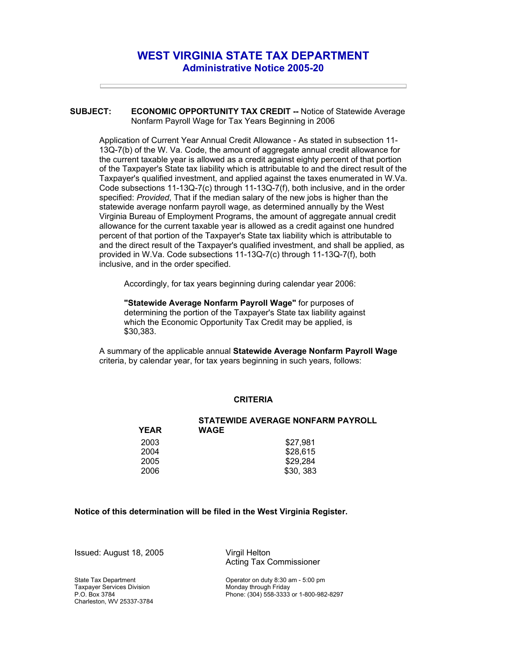## **WEST VIRGINIA STATE TAX DEPARTMENT Administrative Notice 2005-20**

**SUBJECT: ECONOMIC OPPORTUNITY TAX CREDIT --** Notice of Statewide Average Nonfarm Payroll Wage for Tax Years Beginning in 2006

Application of Current Year Annual Credit Allowance - As stated in subsection 11- 13Q-7(b) of the W. Va. Code, the amount of aggregate annual credit allowance for the current taxable year is allowed as a credit against eighty percent of that portion of the Taxpayer's State tax liability which is attributable to and the direct result of the Taxpayer's qualified investment, and applied against the taxes enumerated in W.Va. Code subsections 11-13Q-7(c) through 11-13Q-7(f), both inclusive, and in the order specified: *Provided*, That if the median salary of the new jobs is higher than the statewide average nonfarm payroll wage, as determined annually by the West Virginia Bureau of Employment Programs, the amount of aggregate annual credit allowance for the current taxable year is allowed as a credit against one hundred percent of that portion of the Taxpayer's State tax liability which is attributable to and the direct result of the Taxpayer's qualified investment, and shall be applied, as provided in W.Va. Code subsections 11-13Q-7(c) through 11-13Q-7(f), both inclusive, and in the order specified.

Accordingly, for tax years beginning during calendar year 2006:

**"Statewide Average Nonfarm Payroll Wage"** for purposes of determining the portion of the Taxpayer's State tax liability against which the Economic Opportunity Tax Credit may be applied, is \$30,383.

A summary of the applicable annual **Statewide Average Nonfarm Payroll Wage** criteria, by calendar year, for tax years beginning in such years, follows:

## **CRITERIA**

| <b>YEAR</b> | STATEWIDE AVERAGE NONFARM PAYROLL<br><b>WAGE</b> |
|-------------|--------------------------------------------------|
| 2003        | \$27.981                                         |
| 2004        | \$28.615                                         |
| 2005        | \$29.284                                         |
| 2006        | \$30, 383                                        |

## **Notice of this determination will be filed in the West Virginia Register.**

Issued: August 18, 2005 Virgil Helton

State Tax Department Taxpayer Services Division P.O. Box 3784 Charleston, WV 25337-3784 Acting Tax Commissioner

Operator on duty 8:30 am - 5:00 pm Monday through Friday Phone: (304) 558-3333 or 1-800-982-8297